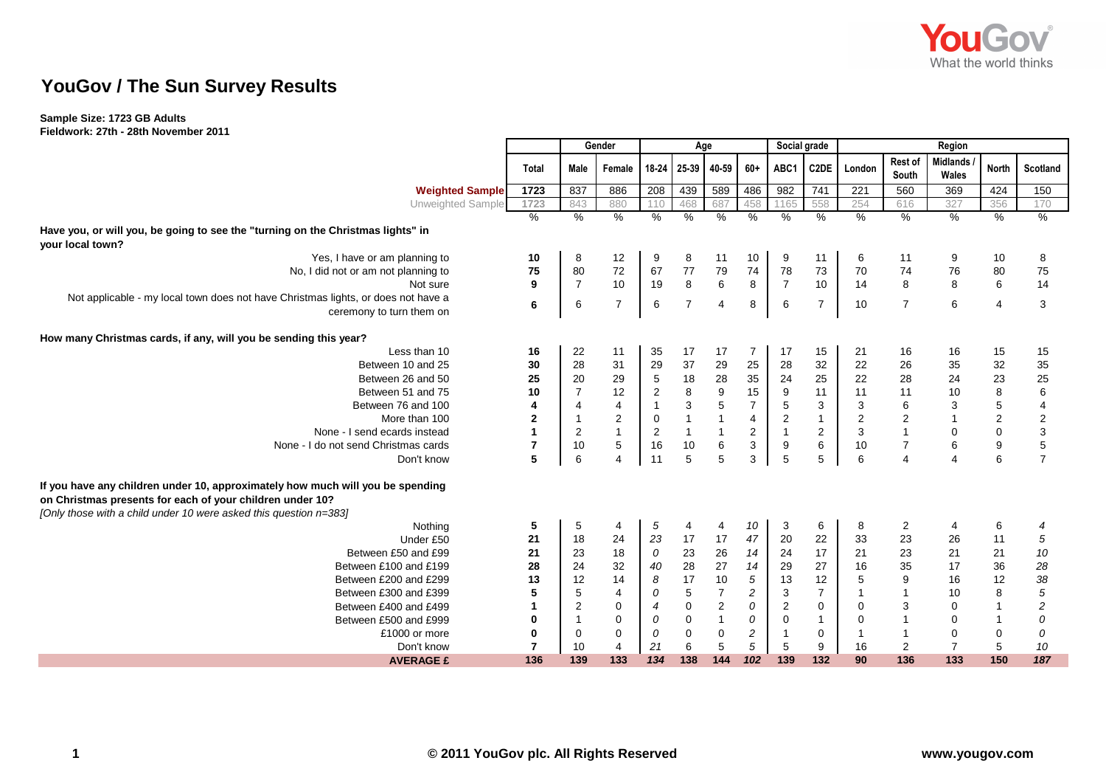

## **YouGov / The Sun Survey Results**

**Sample Size: 1723 GB Adults Fieldwork: 27th - 28th November 2011**

|                                                                                                                                                                                                                  |                |                | Gender<br>Age  |                |                  | Social grade     | Region                    |                  |                |                           |                         |                          |                  |                  |
|------------------------------------------------------------------------------------------------------------------------------------------------------------------------------------------------------------------|----------------|----------------|----------------|----------------|------------------|------------------|---------------------------|------------------|----------------|---------------------------|-------------------------|--------------------------|------------------|------------------|
|                                                                                                                                                                                                                  | Total          | Male           | Female         | $18-24$        | 25-39            | 40-59            | $60+$                     | ABC1             | C2DE           | London                    | Rest of<br>South        | <b>Midlands</b><br>Wales | <b>North</b>     | Scotland         |
| <b>Weighted Sample</b>                                                                                                                                                                                           | 1723           | 837            | 886            | 208            | 439              | 589              | 486                       | 982              | 741            | 221                       | 560                     | 369                      | 424              | 150              |
| <b>Unweighted Sample</b>                                                                                                                                                                                         | 1723           | 843            | 880            | 110            | 468              | 687              | 458                       | 1165             | 558            | 254                       | 616                     | 327                      | 356              | 170              |
|                                                                                                                                                                                                                  | $\%$           | $\%$           | %              | %              | %                | $\%$             | %                         | $\%$             | $\%$           | $\%$                      | $\%$                    | $\%$                     | $\%$             | $\%$             |
| Have you, or will you, be going to see the "turning on the Christmas lights" in<br>your local town?                                                                                                              |                |                |                |                |                  |                  |                           |                  |                |                           |                         |                          |                  |                  |
| Yes, I have or am planning to                                                                                                                                                                                    | 10             | 8              | 12             | 9              | 8                | 11               | 10                        | 9                | 11             | 6                         | 11                      | 9                        | 10               | 8                |
| No, I did not or am not planning to                                                                                                                                                                              | 75             | 80             | 72             | 67             | 77               | 79               | 74                        | 78               | 73             | 70                        | 74                      | 76                       | 80               | 75               |
| Not sure                                                                                                                                                                                                         | 9              | $\overline{7}$ | 10             | 19             | 8                | $\,6\,$          | 8                         | $\overline{7}$   | 10             | 14                        | 8                       | 8                        | 6                | 14               |
| Not applicable - my local town does not have Christmas lights, or does not have a                                                                                                                                |                |                | $\overline{7}$ |                | $\overline{7}$   |                  |                           |                  | $\overline{7}$ |                           | $\overline{7}$          | 6                        | $\overline{4}$   |                  |
| ceremony to turn them on                                                                                                                                                                                         | 6              | 6              |                | 6              |                  | 4                | 8                         | 6                |                | 10                        |                         |                          |                  | 3                |
| How many Christmas cards, if any, will you be sending this year?                                                                                                                                                 |                |                |                |                |                  |                  |                           |                  |                |                           |                         |                          |                  |                  |
| Less than 10                                                                                                                                                                                                     | 16             | 22             | 11             | 35             | 17               | 17               | $\overline{7}$            | 17               | 15             | 21                        | 16                      | 16                       | 15               | 15               |
| Between 10 and 25                                                                                                                                                                                                | 30             | 28             | 31             | 29             | 37               | 29               | 25                        | 28               | 32             | 22                        | 26                      | 35                       | 32               | 35               |
| Between 26 and 50                                                                                                                                                                                                | 25             | 20             | 29             | $\mathbf 5$    | 18               | 28               | 35                        | 24               | 25             | 22                        | 28                      | 24                       | 23               | 25               |
| Between 51 and 75                                                                                                                                                                                                | 10             | $\overline{7}$ | 12             | $\sqrt{2}$     | $\bf 8$          | $\boldsymbol{9}$ | 15                        | $\boldsymbol{9}$ | 11             | 11                        | 11                      | 10                       | $\bf 8$          | $\,6$            |
| Between 76 and 100                                                                                                                                                                                               | 4              | 4              | 4              |                | $\sqrt{3}$       | $\mathbf 5$      | $\overline{7}$            | $\mathbf 5$      | $\sqrt{3}$     | $\ensuremath{\mathsf{3}}$ | 6                       | $\sqrt{3}$               | $\mathbf 5$      | 4                |
| More than 100                                                                                                                                                                                                    | $\mathbf{2}$   | $\overline{1}$ | $\overline{2}$ | $\mathbf 0$    | $\mathbf{1}$     | $\mathbf{1}$     | $\overline{4}$            | $\overline{c}$   | $\mathbf{1}$   | $\sqrt{2}$                | $\overline{\mathbf{c}}$ | $\overline{1}$           | $\sqrt{2}$       | $\boldsymbol{2}$ |
| None - I send ecards instead                                                                                                                                                                                     | 1              | $\overline{2}$ | $\mathbf{1}$   | $\overline{c}$ | $\mathbf{1}$     | $\mathbf{1}$     | $\sqrt{2}$                | $\mathbf{1}$     | $\sqrt{2}$     | $\ensuremath{\mathsf{3}}$ | $\mathbf{1}$            | $\pmb{0}$                | $\pmb{0}$        | $\mathsf 3$      |
| None - I do not send Christmas cards                                                                                                                                                                             | $\overline{7}$ | 10             | $\,$ 5 $\,$    | 16             | 10               | $\,6$            | $\ensuremath{\mathsf{3}}$ | $\boldsymbol{9}$ | $\,6\,$        | 10                        | $\boldsymbol{7}$        | $\,6$                    | $\boldsymbol{9}$ | $\sqrt{5}$       |
| Don't know                                                                                                                                                                                                       | 5              | 6              | $\overline{4}$ | 11             | $\overline{5}$   | $\overline{5}$   | 3                         | 5                | $\sqrt{5}$     | 6                         | $\overline{\mathbf{4}}$ | $\overline{\mathbf{4}}$  | $\,6\,$          | $\overline{7}$   |
| If you have any children under 10, approximately how much will you be spending<br>on Christmas presents for each of your children under 10?<br>[Only those with a child under 10 were asked this question n=383] |                |                |                |                |                  |                  |                           |                  |                |                           |                         |                          |                  |                  |
| Nothing                                                                                                                                                                                                          | 5              | 5              | $\overline{4}$ | $\sqrt{5}$     | 4                | 4                | 10                        | 3                | 6              | 8                         | $\overline{2}$          | 4                        | 6                | 4                |
| Under £50                                                                                                                                                                                                        | 21             | 18             | 24             | 23             | 17               | 17               | $47\,$                    | 20               | 22             | 33                        | 23                      | 26                       | 11               | $\sqrt{5}$       |
| Between £50 and £99                                                                                                                                                                                              | 21             | 23             | 18             | 0              | 23               | 26               | 14                        | 24               | 17             | 21                        | 23                      | 21                       | 21               | 10               |
| Between £100 and £199                                                                                                                                                                                            | 28             | 24             | 32             | 40             | 28               | 27               | 14                        | 29               | 27             | 16                        | 35                      | 17                       | 36               | 28               |
| Between £200 and £299                                                                                                                                                                                            | 13             | 12             | 14             | 8              | 17               | $10$             | $\sqrt{5}$                | 13               | 12             | 5                         | 9                       | 16                       | 12               | 38               |
| Between £300 and £399                                                                                                                                                                                            | 5              | 5              | $\overline{4}$ | 0              | $\sqrt{5}$       | $\overline{7}$   | $\boldsymbol{2}$          | 3                | $\overline{7}$ |                           | $\mathbf{1}$            | 10                       | $\bf 8$          | $\sqrt{5}$       |
| Between £400 and £499                                                                                                                                                                                            | 1              | $\overline{2}$ | $\pmb{0}$      | 4              | $\boldsymbol{0}$ | $\sqrt{2}$       | 0                         | $\boldsymbol{2}$ | $\mathbf 0$    | 0                         | 3                       | $\mathbf 0$              | $\overline{1}$   | $\sqrt{2}$       |
| Between £500 and £999                                                                                                                                                                                            | 0              | $\overline{1}$ | $\mathbf 0$    | 0              | $\mathbf 0$      | $\mathbf{1}$     | 0                         | 0                | $\mathbf{1}$   | $\mathbf 0$               | $\mathbf{1}$            | $\mathbf 0$              | $\overline{1}$   | 0                |
| £1000 or more                                                                                                                                                                                                    | 0              | $\mathbf 0$    | $\mathbf 0$    | 0              | $\mathbf 0$      | $\pmb{0}$        | $\overline{\mathbf{c}}$   | $\mathbf{1}$     | $\mathbf 0$    | $\overline{1}$            | $\mathbf{1}$            | $\mathbf 0$              | 0                | 0                |
| Don't know                                                                                                                                                                                                       | $\overline{7}$ | 10             | $\overline{4}$ | 21             | 6                | $\overline{5}$   | $\sqrt{5}$                | 5                | 9              | 16                        | $\overline{2}$          | $\overline{7}$           | $\,$ 5 $\,$      | 10               |
| <b>AVERAGE £</b>                                                                                                                                                                                                 | 136            | 139            | 133            | 134            | 138              | 144              | 102                       | 139              | 132            | 90                        | 136                     | 133                      | 150              | 187              |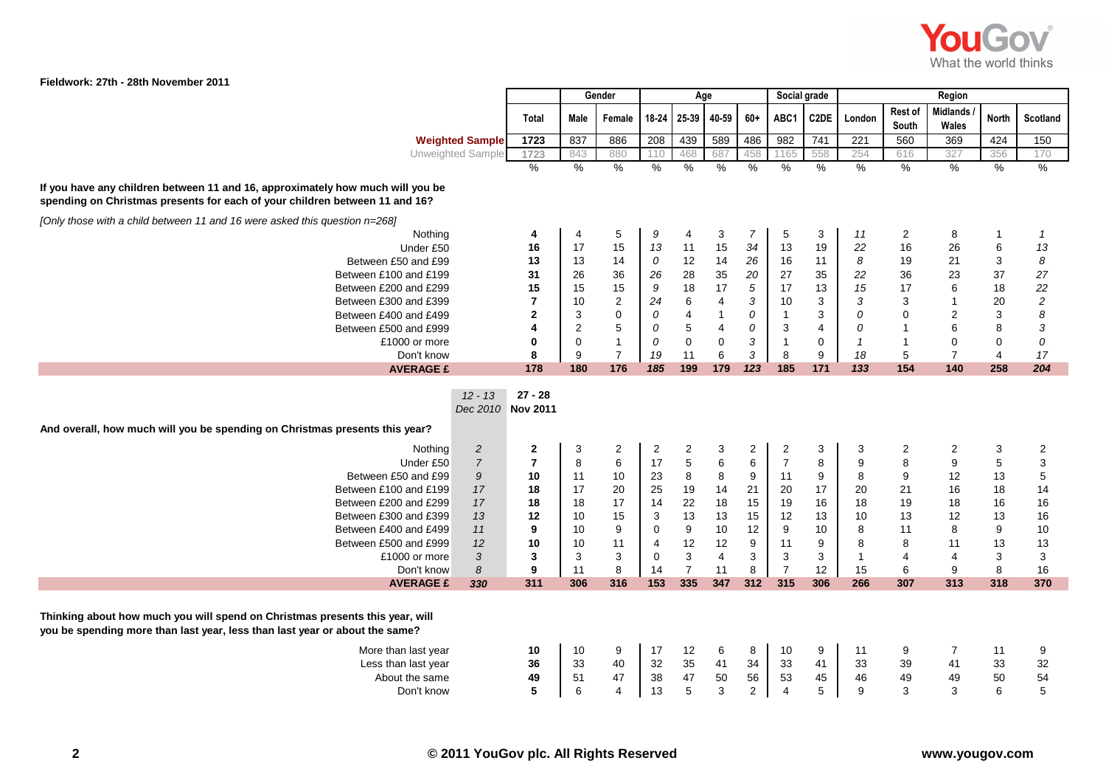

| Fieldwork: 27th - 28th November 2011 |  |  |  |  |  |
|--------------------------------------|--|--|--|--|--|
|--------------------------------------|--|--|--|--|--|

|                                                                                                                                                               |                                |                           | Social grade<br>Gender<br>Age |                  |                         |                         |                  |                           |                           | Region           |                           |                          |                           |                       |  |
|---------------------------------------------------------------------------------------------------------------------------------------------------------------|--------------------------------|---------------------------|-------------------------------|------------------|-------------------------|-------------------------|------------------|---------------------------|---------------------------|------------------|---------------------------|--------------------------|---------------------------|-----------------------|--|
|                                                                                                                                                               | Total                          | Male                      | Female                        |                  | 18-24 25-39             | 40-59                   | $60+$            | ABC1                      | C2DE                      | London           | <b>Rest of</b><br>South   | <b>Midlands</b><br>Wales | <b>North</b>              | <b>Scotland</b>       |  |
| <b>Weighted Sample</b>                                                                                                                                        | 1723                           | 837                       | 886                           | 208              | 439                     | 589                     | 486              | 982                       | 741                       | 221              | 560                       | 369                      | 424                       | 150                   |  |
| Unweighted Sample                                                                                                                                             | 1723                           | 843                       | 880                           | 110              | 468                     | 687                     | 458              | 165                       | 558                       | 254              | 616                       | 327                      | 356                       | 170                   |  |
|                                                                                                                                                               | $\frac{9}{6}$                  | %                         | $\%$                          | %                | %                       | %                       | %                | %                         | %                         | $\frac{0}{0}$    | $\frac{0}{6}$             | $\frac{0}{6}$            | $\%$                      | $\%$                  |  |
| If you have any children between 11 and 16, approximately how much will you be<br>spending on Christmas presents for each of your children between 11 and 16? |                                |                           |                               |                  |                         |                         |                  |                           |                           |                  |                           |                          |                           |                       |  |
| [Only those with a child between 11 and 16 were asked this question n=268]                                                                                    |                                |                           |                               |                  |                         |                         |                  |                           |                           |                  |                           |                          |                           |                       |  |
| Nothing                                                                                                                                                       | 4                              | 4                         | 5                             | 9                | 4                       | 3                       | $\overline{7}$   | 5                         | 3                         | 11               | 2                         | 8                        | $\mathbf 1$               | $\overline{1}$        |  |
| Under £50                                                                                                                                                     | 16                             | 17                        | 15                            | 13               | 11                      | 15                      | 34               | 13                        | 19                        | 22               | 16                        | 26                       | $\,6\,$                   | 13                    |  |
| Between £50 and £99                                                                                                                                           | 13                             | 13                        | 14                            | 0                | 12                      | 14                      | 26               | 16                        | 11                        | 8                | 19                        | 21                       | $\mathsf 3$               | 8                     |  |
| Between £100 and £199                                                                                                                                         | 31                             | 26                        | 36                            | 26               | 28                      | 35                      | 20               | 27                        | 35                        | 22               | 36                        | 23                       | 37                        | 27                    |  |
| Between £200 and £299                                                                                                                                         | 15                             | 15                        | 15                            | 9                | 18                      | 17                      | $\sqrt{5}$       | 17                        | 13                        | 15               | 17                        | 6                        | 18                        | 22                    |  |
| Between £300 and £399                                                                                                                                         | $\overline{7}$                 | 10                        | $\overline{2}$                | 24               | $\,6$                   | $\overline{4}$          | $\sqrt{3}$       | 10                        | $\ensuremath{\mathsf{3}}$ | 3                | $\ensuremath{\mathsf{3}}$ |                          | 20                        | $\sqrt{2}$            |  |
| Between £400 and £499                                                                                                                                         | $\bf{2}$                       | $\ensuremath{\mathsf{3}}$ | $\pmb{0}$                     | ${\cal O}$       | $\overline{\mathbf{4}}$ | $\mathbf{1}$            | ${\cal O}$       | $\mathbf{1}$              | $\mathbf{3}$              | 0                | $\pmb{0}$                 | $\overline{2}$           | $\ensuremath{\mathsf{3}}$ | $\boldsymbol{\delta}$ |  |
| Between £500 and £999                                                                                                                                         | 4                              | $\overline{c}$            | $\,$ 5 $\,$                   | 0                | $\mathbf 5$             | $\overline{\mathbf{4}}$ | 0                | $\ensuremath{\mathsf{3}}$ | $\overline{\mathcal{A}}$  | 0                | $\mathbf{1}$              | 6                        | $\bf 8$                   | $\mathbf{3}$          |  |
| £1000 or more                                                                                                                                                 | 0                              | $\mathbf 0$               | $\mathbf{1}$                  | $\it{O}$         | $\pmb{0}$               | $\mathbf 0$             | $\sqrt{3}$       | $\mathbf{1}$              | $\pmb{0}$                 | $\mathbf{1}$     | $\mathbf{1}$              | $\mathbf 0$              | $\pmb{0}$                 | 0                     |  |
| Don't know                                                                                                                                                    | 8                              | 9                         | $\overline{7}$                | 19               | 11                      | $\,6\,$                 | $\sqrt{3}$       | $\,8\,$                   | $9\,$                     | 18               | 5                         | $\overline{7}$           | $\overline{4}$            | 17                    |  |
| <b>AVERAGE £</b>                                                                                                                                              | 178                            | 180                       | 176                           | 185              | 199                     | 179                     | 123              | 185                       | 171                       | 133              | 154                       | 140                      | 258                       | 204                   |  |
| $12 - 13$                                                                                                                                                     | $27 - 28$<br>Dec 2010 Nov 2011 |                           |                               |                  |                         |                         |                  |                           |                           |                  |                           |                          |                           |                       |  |
| And overall, how much will you be spending on Christmas presents this year?                                                                                   |                                |                           |                               |                  |                         |                         |                  |                           |                           |                  |                           |                          |                           |                       |  |
| $\sqrt{2}$<br>Nothing                                                                                                                                         | $\mathbf 2$                    | $\ensuremath{\mathsf{3}}$ | $\overline{\mathbf{c}}$       | $\boldsymbol{2}$ | $\overline{\mathbf{c}}$ | 3                       | $\sqrt{2}$       | $\boldsymbol{2}$          | $\ensuremath{\mathsf{3}}$ | 3                | $\sqrt{2}$                | $\sqrt{2}$               | $\ensuremath{\mathsf{3}}$ | $\overline{c}$        |  |
| $\overline{7}$<br>Under £50                                                                                                                                   | $\overline{7}$                 | $\bf 8$                   | $\,6\,$                       | 17               | 5                       | $\,6\,$                 | $\,6\,$          | $\boldsymbol{7}$          | $\bf 8$                   | $\boldsymbol{9}$ | $\,8\,$                   | $\boldsymbol{9}$         | $\sqrt{5}$                | $\mathbf{3}$          |  |
| Between £50 and £99<br>9                                                                                                                                      | 10                             | 11                        | 10                            | 23               | 8                       | $\bf8$                  | $\boldsymbol{9}$ | 11                        | $\boldsymbol{9}$          | 8                | $\boldsymbol{9}$          | 12                       | 13                        | $\overline{5}$        |  |
| Between £100 and £199<br>17                                                                                                                                   | 18                             | 17                        | 20                            | 25               | 19                      | 14                      | 21               | 20                        | 17                        | 20               | 21                        | 16                       | 18                        | 14                    |  |
| Between £200 and £299<br>17                                                                                                                                   | 18                             | 18                        | 17                            | 14               | 22                      | 18                      | 15               | 19                        | 16                        | 18               | 19                        | 18                       | 16                        | 16                    |  |
| 13<br>Between £300 and £399                                                                                                                                   | 12                             | 10                        | 15                            | 3                | 13                      | 13                      | 15               | 12                        | 13                        | 10               | 13                        | 12                       | 13                        | 16                    |  |
| 11<br>Between £400 and £499                                                                                                                                   | 9                              | 10                        | 9                             | $\mathbf 0$      | 9                       | 10                      | 12               | 9                         | 10                        | 8                | 11                        | 8                        | $\boldsymbol{9}$          | 10                    |  |
| Between £500 and £999<br>12                                                                                                                                   | 10                             | 10                        | 11                            | $\overline{4}$   | 12                      | 12                      | 9                | 11                        | 9                         | 8                | 8                         | 11                       | 13                        | 13                    |  |
| 3<br>£1000 or more                                                                                                                                            | 3                              | $\mathbf{3}$              | $\mathbf{3}$                  | $\overline{0}$   | 3                       | $\overline{4}$          | $\sqrt{3}$       | $\sqrt{3}$                | $\mathbf{3}$              | $\mathbf{1}$     | $\overline{4}$            | $\overline{4}$           | $\ensuremath{\mathsf{3}}$ | $\mathbf{3}$          |  |
| 8<br>Don't know                                                                                                                                               | 9                              | 11                        | 8                             | 14               | $\overline{7}$          | 11                      | 8                | $\overline{7}$            | 12                        | 15               | 6                         | 9                        | 8                         | 16                    |  |
| 330<br><b>AVERAGE £</b>                                                                                                                                       | 311                            | 306                       | 316                           | 153              | 335                     | 347                     | 312              | 315                       | 306                       | 266              | 307                       | 313                      | 318                       | 370                   |  |
| Thinking about how much you will spend on Christmas presents this year, will<br>you be spending more than last year, less than last year or about the same?   |                                |                           |                               |                  |                         |                         |                  |                           |                           |                  |                           |                          |                           |                       |  |
| More than last year                                                                                                                                           | 10                             | 10                        | 9                             | 17               | 12                      | 6                       | 8                | 10                        | 9                         | 11               | 9                         | $\overline{7}$           | 11                        | 9                     |  |
| Less than last year                                                                                                                                           | 36                             | 33                        | 40                            | 32               | 35                      | 41                      | 34               | 33                        | 41                        | 33               | 39                        | 41                       | 33                        | 32                    |  |
| About the same                                                                                                                                                | 49                             | 51                        | 47                            | 38               | 47                      | 50                      | 56               | 53                        | 45                        | 46               | 49                        | 49                       | 50                        | 54                    |  |
| Don't know                                                                                                                                                    | 5                              | 6                         | 4                             | 13               | 5                       | $\mathbf{3}$            | $\sqrt{2}$       | $\overline{4}$            | 5                         | 9                | 3                         | 3                        | 6                         | 5                     |  |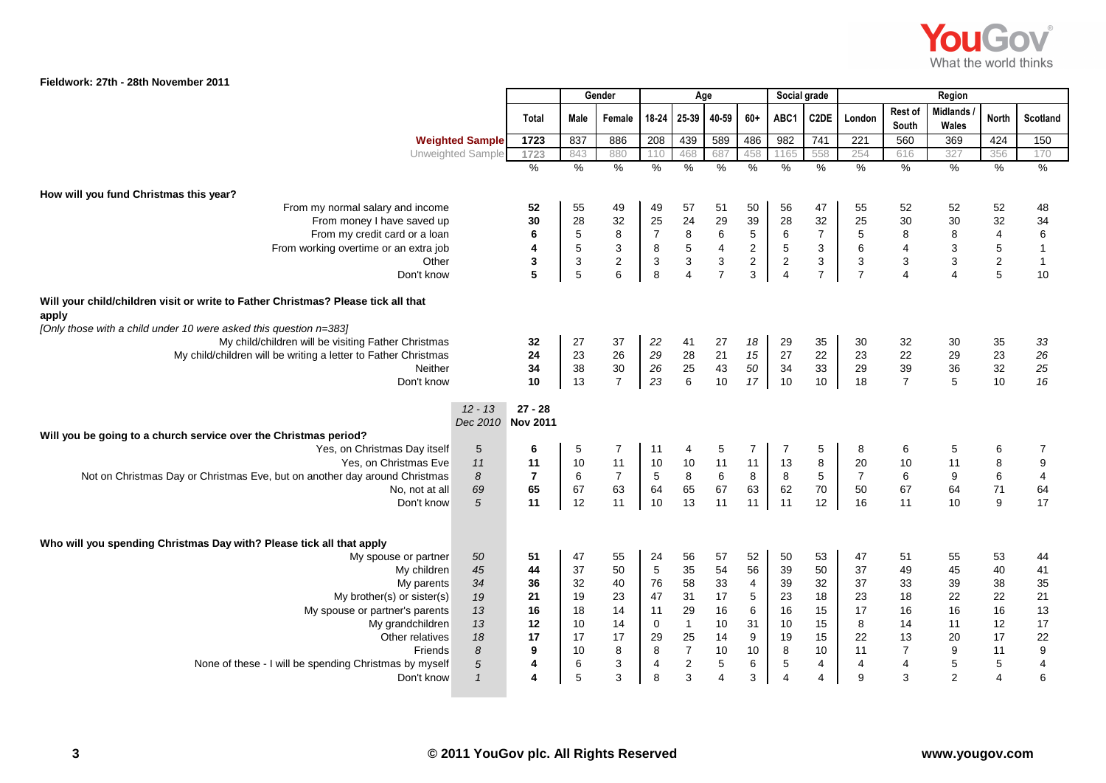

## **Fieldwork: 27th - 28th November 2011**

|                                                                                            |                   |                | Gender                    |                           | Age                                    |                         |                | Social grade            |                |                |                         | Region                   |                                        |                         |
|--------------------------------------------------------------------------------------------|-------------------|----------------|---------------------------|---------------------------|----------------------------------------|-------------------------|----------------|-------------------------|----------------|----------------|-------------------------|--------------------------|----------------------------------------|-------------------------|
|                                                                                            | <b>Total</b>      | Male           | Female                    | $18 - 24$                 | 25-39                                  | 40-59                   | $60+$          | ABC1                    | C2DE           | London         | Rest of<br>South        | <b>Midlands</b><br>Wales | <b>North</b>                           | Scotland                |
| <b>Weighted Sample</b>                                                                     | 1723              | 837            | 886                       | 208                       | 439                                    | 589                     | 486            | 982                     | 741            | 221            | 560                     | 369                      | 424                                    | 150                     |
| Unweighted Sample                                                                          | 1723              | 843            | 880                       | 110                       | 468                                    | 687                     | 458            | 1165                    | 558            | 254            | 616                     | 327                      | 356                                    | 170                     |
|                                                                                            | %                 | $\%$           | $\frac{0}{6}$             | $\%$                      | $\%$                                   | $\%$                    | %              | $\frac{9}{6}$           | $\frac{9}{6}$  | $\%$           | %                       | $\frac{0}{2}$            | $\frac{9}{6}$                          | $\%$                    |
|                                                                                            |                   |                |                           |                           |                                        |                         |                |                         |                |                |                         |                          |                                        |                         |
| How will you fund Christmas this year?                                                     |                   |                |                           |                           |                                        |                         |                |                         |                |                |                         |                          |                                        |                         |
| From my normal salary and income                                                           | 52                | 55             | 49                        | 49                        | 57                                     | 51                      | 50             | 56                      | 47             | 55             | 52                      | 52                       | 52                                     | 48                      |
| From money I have saved up                                                                 | 30                | 28             | 32                        | 25                        | 24                                     | 29                      | 39             | 28                      | 32             | 25             | 30                      | 30                       | 32                                     | 34                      |
| From my credit card or a loan                                                              | 6                 | $\sqrt{5}$     | $\bf 8$                   | $\boldsymbol{7}$          | $\bf 8$                                | $\,6\,$                 | $\overline{5}$ | 6                       | $\overline{7}$ | $\sqrt{5}$     | $\bf8$                  | $\bf 8$                  | $\overline{\mathbf{4}}$                | $\,6\,$                 |
| From working overtime or an extra job                                                      | 4                 | $\sqrt{5}$     | $\ensuremath{\mathsf{3}}$ | $\bf 8$                   | $\frac{5}{3}$                          | $\overline{\mathbf{4}}$ | $\overline{c}$ | $\sqrt{5}$              | $\mathbf{3}$   | $\,$ 6 $\,$    | $\overline{\mathbf{4}}$ | $\frac{3}{3}$            | $\frac{5}{2}$                          | $\mathbf{1}$            |
| Other                                                                                      | 3                 | 3              | $\sqrt{2}$                | $\ensuremath{\mathsf{3}}$ |                                        | $\mathbf 3$             | $\overline{2}$ | $\sqrt{2}$              | 3              | $\mathsf 3$    | $\mathbf 3$             |                          |                                        | $\mathbf{1}$            |
| Don't know                                                                                 | 5                 | $\overline{5}$ | $\,6$                     | 8                         | $\overline{4}$                         | $\overline{7}$          | 3              | $\overline{\mathbf{4}}$ | $\overline{7}$ | $\overline{7}$ | $\overline{\mathbf{4}}$ | $\overline{4}$           | $\overline{5}$                         | 10                      |
| Will your child/children visit or write to Father Christmas? Please tick all that<br>apply |                   |                |                           |                           |                                        |                         |                |                         |                |                |                         |                          |                                        |                         |
| [Only those with a child under 10 were asked this question n=383]                          |                   |                |                           |                           |                                        |                         |                |                         |                |                |                         |                          |                                        |                         |
| My child/children will be visiting Father Christmas                                        | 32                | 27             | 37                        | 22                        | 41                                     | 27                      | 18             | 29                      | 35             | 30             | 32                      | 30                       | 35                                     | 33                      |
| My child/children will be writing a letter to Father Christmas                             | 24                | 23             | 26                        | 29                        | 28                                     | 21                      | 15             | 27                      | 22             | 23             | 22                      | 29                       | 23                                     | 26                      |
| <b>Neither</b>                                                                             | 34                | 38             | 30                        | 26                        | $\begin{array}{c} 25 \\ 6 \end{array}$ | 43                      | 50             | 34                      | 33             | 29             | 39                      | 36                       | 32                                     | 25                      |
| Don't know                                                                                 | 10                | 13             | $\overline{7}$            | 23                        |                                        | $10$                    | 17             | 10                      | $10\,$         | 18             | $\overline{7}$          | $\overline{5}$           | 10                                     | 16                      |
| $12 - 13$                                                                                  | $27 - 28$         |                |                           |                           |                                        |                         |                |                         |                |                |                         |                          |                                        |                         |
|                                                                                            | Dec 2010 Nov 2011 |                |                           |                           |                                        |                         |                |                         |                |                |                         |                          |                                        |                         |
| Will you be going to a church service over the Christmas period?                           |                   |                |                           |                           |                                        |                         |                |                         |                |                |                         |                          |                                        |                         |
| Yes, on Christmas Day itself<br>$5\phantom{.0}$                                            | 6                 | 5              | 7                         | 11                        | 4                                      | 5                       | $\overline{7}$ |                         | 5              | 8              | 6                       | 5                        | 6                                      | $\overline{7}$          |
| Yes, on Christmas Eve<br>11                                                                | 11                | 10             | 11                        | 10                        | $10$                                   | 11                      | 11             | 13                      | $\bf 8$        | 20             | 10                      | 11                       | $\bf 8$                                | $\overline{9}$          |
| Not on Christmas Day or Christmas Eve, but on another day around Christmas<br>8            | $\overline{7}$    | $\,6\,$        | $\overline{7}$            | $\,$ 5 $\,$               | $\bf 8$                                | $\,6\,$                 | 8              | $\bf 8$                 | $\,$ 5 $\,$    | $\overline{7}$ | $\,6\,$                 | $\boldsymbol{9}$         |                                        | $\overline{\mathbf{4}}$ |
| 69<br>No. not at all                                                                       | 65                | 67             | 63                        | 64                        | 65                                     | 67                      | 63             | 62                      | 70             | 50             | 67                      | 64                       | $\begin{array}{c} 6 \\ 71 \end{array}$ | 64                      |
| 5                                                                                          | 11                | 12             | 11                        | 10                        | 13                                     | 11                      | 11             | 11                      | 12             | 16             | 11                      | 10                       | $\overline{9}$                         | 17                      |
| Don't know                                                                                 |                   |                |                           |                           |                                        |                         |                |                         |                |                |                         |                          |                                        |                         |
| Who will you spending Christmas Day with? Please tick all that apply                       |                   |                |                           |                           |                                        |                         |                |                         |                |                |                         |                          |                                        |                         |
| My spouse or partner<br>50                                                                 | 51                | 47             | 55                        | 24                        | 56                                     | 57                      | 52             | 50                      | 53             | 47             | 51                      | 55                       | 53                                     | 44                      |
| 45<br>My children                                                                          | 44                | 37             | 50                        | $\mathbf 5$               | 35                                     | 54                      | 56             | 39                      | 50             | 37             | 49                      | 45                       | 40                                     | 41                      |
| My parents<br>34                                                                           | 36                | 32             | 40                        | 76                        | 58                                     | 33                      | 4              | 39                      | 32             | 37             | 33                      | 39                       | 38                                     |                         |
| My brother(s) or sister(s)<br>19                                                           | 21                | 19             | 23                        | 47                        | 31                                     | 17                      | 5              | 23                      | 18             | 23             | 18                      | 22                       | 22                                     | $\frac{35}{21}$         |
| My spouse or partner's parents<br>13                                                       | 16                | 18             | 14                        | 11                        | 29                                     | $16\,$                  | $\,6\,$        | 16                      | 15             | 17             | 16                      | 16                       | 16                                     | 13                      |
| 13<br>My grandchildren                                                                     | 12                | 10             | 14                        | $\pmb{0}$                 | $\mathbf{1}$                           | $10\,$                  | 31             | 10                      | 15             | $\,8\,$        | 14                      | 11                       | 12                                     | 17                      |
| 18<br>Other relatives                                                                      | 17                | 17             | 17                        | 29                        |                                        | 14                      | 9              | 19                      | 15             | 22             | 13                      | 20                       | 17                                     | 22                      |
| Friends<br>8                                                                               | 9                 | 10             | 8                         | $\bf 8$                   | $\frac{25}{7}$                         | $10$                    | 10             | $\bf 8$                 | 10             | 11             | $\overline{7}$          | $\boldsymbol{9}$         | 11                                     | $\boldsymbol{9}$        |
| $\sqrt{5}$<br>None of these - I will be spending Christmas by myself                       | $\pmb{4}$         | $\,6$          | $\ensuremath{\mathsf{3}}$ | $\overline{\mathbf{4}}$   | $\overline{c}$                         | $\mathbf 5$             | $\,6\,$        | $\sqrt{5}$              | $\overline{4}$ | $\overline{4}$ | $\overline{\mathbf{4}}$ | $\sqrt{5}$               | $\mathbf 5$                            | 4                       |
| $\mathbf{1}$<br>Don't know                                                                 | 4                 | 5              | $\mathbf{3}$              | 8                         | $\overline{3}$                         | $\overline{4}$          | 3              | $\overline{4}$          | 4              | 9              | 3                       | $\overline{2}$           | $\overline{4}$                         | 6                       |
|                                                                                            |                   |                |                           |                           |                                        |                         |                |                         |                |                |                         |                          |                                        |                         |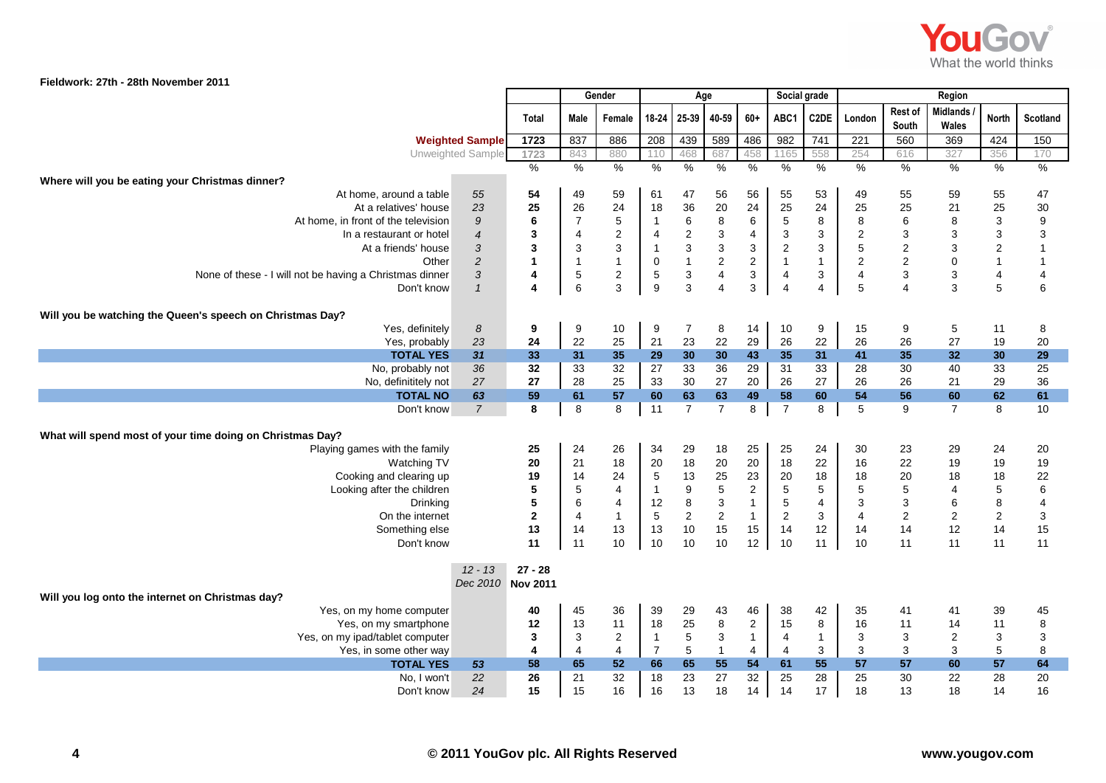

**Fieldwork: 27th - 28th November 2011**

|                                                           |                          |                         | Gender         |                |                | Age                       |                           |                | Social grade   |                |                  |                           | Region                   |                           |                           |
|-----------------------------------------------------------|--------------------------|-------------------------|----------------|----------------|----------------|---------------------------|---------------------------|----------------|----------------|----------------|------------------|---------------------------|--------------------------|---------------------------|---------------------------|
|                                                           |                          | Total                   | Male           | Female         | 18-24          | 25-39                     | 40-59                     | $60+$          | ABC1           | C2DE           | London           | Rest of<br>South          | <b>Midlands</b><br>Wales | North                     | Scotland                  |
| <b>Weighted Sample</b>                                    |                          | 1723                    | 837            | 886            | 208            | 439                       | 589                       | 486            | 982            | 741            | 221              | 560                       | 369                      | 424                       | 150                       |
| Unweighted Sample                                         |                          | 1723                    | 843            | 880            | 110            | 468                       | 687                       | 458            | 1165           | 558            | 254              | 616                       | 327                      | 356                       | 170                       |
|                                                           |                          | $\frac{9}{6}$           | %              | $\frac{9}{6}$  | $\%$           | $\frac{9}{6}$             | %                         | $\frac{9}{6}$  | %              | $\frac{9}{6}$  | $\frac{9}{6}$    | $\%$                      | $\frac{9}{6}$            | $\frac{9}{6}$             | $\%$                      |
| Where will you be eating your Christmas dinner?           |                          |                         |                |                |                |                           |                           |                |                |                |                  |                           |                          |                           |                           |
| At home, around a table                                   | 55                       | 54                      | 49             | 59             | 61             | 47                        | 56                        | 56             | 55             | 53             | 49               | 55                        | 59                       | 55                        | 47                        |
| At a relatives' house                                     | 23                       | 25                      | 26             | 24             | 18             | 36                        | 20                        | 24             | 25             | 24             | 25               | 25                        | 21                       | 25                        | 30                        |
| At home, in front of the television                       | $\boldsymbol{9}$         | 6                       | $\overline{7}$ | $\,$ 5 $\,$    | $\mathbf{1}$   | 6                         | $\bf 8$                   | 6              | 5              | 8              | 8                | 6                         | 8                        | 3                         | $\boldsymbol{9}$          |
| In a restaurant or hotel                                  | $\overline{\mathcal{A}}$ | $\mathbf{3}$            | $\overline{4}$ | $\overline{c}$ | 4              | $\boldsymbol{2}$          | $\mathsf 3$               | 4              | 3              | 3              | $\boldsymbol{2}$ | $\mathsf 3$               | $\mathsf 3$              | $\ensuremath{\mathsf{3}}$ | $\ensuremath{\mathsf{3}}$ |
| At a friends' house                                       | $\sqrt{3}$               | $\mathbf 3$             | 3              | 3              | $\mathbf{1}$   | 3                         | $\ensuremath{\mathsf{3}}$ | 3              | $\sqrt{2}$     | $\sqrt{3}$     | 5                | $\sqrt{2}$                | $\mathsf 3$              | $\boldsymbol{2}$          | $\mathbf{1}$              |
| Other                                                     | $\sqrt{2}$               | $\mathbf{1}$            | $\mathbf{1}$   | $\mathbf{1}$   | $\pmb{0}$      | $\mathbf{1}$              | $\sqrt{2}$                | $\overline{c}$ | $\mathbf{1}$   | $\mathbf{1}$   | $\boldsymbol{2}$ | $\sqrt{2}$                | $\pmb{0}$                | $\mathbf{1}$              | $\mathbf{1}$              |
| None of these - I will not be having a Christmas dinner   | $\mathfrak{Z}$           | $\overline{\mathbf{4}}$ | 5              | $\overline{c}$ | 5              | $\ensuremath{\mathsf{3}}$ | $\overline{\mathbf{4}}$   | 3              | 4              | 3              | $\overline{4}$   | $\sqrt{3}$                | $\mathbf{3}$             | $\overline{4}$            | 4                         |
| Don't know                                                | $\mathbf{1}$             | 4                       | 6              | 3              | 9              | 3                         | $\overline{4}$            | 3              | $\overline{4}$ | $\overline{4}$ | 5                | $\overline{4}$            | 3                        | $\overline{5}$            | 6                         |
| Will you be watching the Queen's speech on Christmas Day? |                          |                         |                |                |                |                           |                           |                |                |                |                  |                           |                          |                           |                           |
| Yes, definitely                                           | 8                        | 9                       | 9              | 10             | 9              | $\overline{7}$            | 8                         | 14             | 10             | 9              | 15               | 9                         | $\sqrt{5}$               | 11                        | 8                         |
| Yes, probably                                             | 23                       | 24                      | 22             | 25             | 21             | 23                        | 22                        | 29             | 26             | 22             | 26               | 26                        | 27                       | 19                        | 20                        |
| <b>TOTAL YES</b>                                          | 31                       | 33                      | 31             | 35             | 29             | 30                        | 30                        | 43             | 35             | 31             | 41               | 35                        | 32                       | 30                        | 29                        |
| No, probably not                                          | 36                       | 32                      | 33             | 32             | 27             | 33                        | 36                        | 29             | 31             | 33             | 28               | 30                        | 40                       | 33                        | 25                        |
| No, definititely not                                      | 27                       | 27                      | 28             | 25             | 33             | 30                        | 27                        | 20             | 26             | 27             | 26               | 26                        | 21                       | 29                        | 36                        |
| <b>TOTAL NO</b>                                           | 63                       | 59                      | 61             | 57             | 60             | 63                        | 63                        | 49             | 58             | 60             | 54               | 56                        | 60                       | 62                        | 61                        |
| Don't know                                                | $\overline{7}$           | 8                       | 8              | 8              | 11             | $\overline{7}$            | $\overline{7}$            | $\overline{8}$ | $\overline{7}$ | 8              | 5                | 9                         | $\overline{7}$           | 8                         | 10                        |
| What will spend most of your time doing on Christmas Day? |                          |                         |                |                |                |                           |                           |                |                |                |                  |                           |                          |                           |                           |
| Playing games with the family                             |                          | 25                      | 24             | 26             | 34             | 29                        | 18                        | 25             | 25             | 24             | 30               | 23                        | 29                       | 24                        | 20                        |
| Watching TV                                               |                          | 20                      | 21             | 18             | 20             | 18                        | 20                        | 20             | 18             | 22             | 16               | 22                        | 19                       | 19                        | 19                        |
| Cooking and clearing up                                   |                          | 19                      | 14             | 24             | 5              | 13                        | 25                        | 23             | 20             | 18             | 18               | 20                        | 18                       | 18                        | 22                        |
| Looking after the children                                |                          | 5                       | 5              | 4              | $\mathbf{1}$   | $\boldsymbol{9}$          | $\sqrt{5}$                | $\overline{c}$ | $\,$ 5 $\,$    | 5              | 5                | 5                         | 4                        | $\sqrt{5}$                | $\,6$                     |
| Drinking                                                  |                          | ${\bf 5}$               | 6              | $\overline{4}$ | 12             | 8                         | $\ensuremath{\mathsf{3}}$ | $\mathbf{1}$   | $\mathbf 5$    | 4              | 3                | $\ensuremath{\mathsf{3}}$ | $\,6$                    | $\bf 8$                   | $\overline{\mathbf{4}}$   |
| On the internet                                           |                          | $\mathbf{2}$            | $\overline{4}$ | $\overline{1}$ | 5              | $\mathbf 2$               | $\overline{2}$            | $\mathbf{1}$   | $\overline{2}$ | 3              | $\overline{4}$   | $\sqrt{2}$                | $\sqrt{2}$               | $\sqrt{2}$                | 3                         |
| Something else                                            |                          | 13                      | 14             | 13             | 13             | 10                        | 15                        | 15             | 14             | 12             | 14               | 14                        | 12                       | 14                        | 15                        |
| Don't know                                                |                          | 11                      | 11             | 10             | 10             | 10                        | 10                        | 12             | 10             | 11             | 10               | 11                        | 11                       | 11                        | 11                        |
|                                                           |                          |                         |                |                |                |                           |                           |                |                |                |                  |                           |                          |                           |                           |
|                                                           | $12 - 13$                | $27 - 28$               |                |                |                |                           |                           |                |                |                |                  |                           |                          |                           |                           |
|                                                           | Dec 2010 Nov 2011        |                         |                |                |                |                           |                           |                |                |                |                  |                           |                          |                           |                           |
| Will you log onto the internet on Christmas day?          |                          |                         |                |                |                |                           |                           |                |                |                |                  |                           |                          |                           |                           |
| Yes, on my home computer                                  |                          | 40                      | 45             | 36             | 39             | 29                        | 43                        | 46             | 38             | 42             | 35               | 41                        | 41                       | 39                        | 45                        |
| Yes, on my smartphone                                     |                          | 12                      | 13             | 11             | 18             | 25                        | $\bf 8$                   | $\overline{c}$ | 15             | 8              | 16               | 11                        | 14                       | 11                        | 8                         |
| Yes, on my ipad/tablet computer                           |                          | 3                       | 3              | $\overline{c}$ | $\overline{1}$ | 5                         | $\mathsf 3$               | $\mathbf{1}$   | 4              | $\mathbf{1}$   | 3                | 3                         | $\overline{2}$           | 3                         | $\ensuremath{\mathsf{3}}$ |
| Yes, in some other way                                    |                          | $\overline{\mathbf{4}}$ | $\overline{4}$ | 4              | $\overline{7}$ | $\sqrt{5}$                | $\overline{1}$            | 4              | 4              | 3              | 3                | $\sqrt{3}$                | $\sqrt{3}$               | $\sqrt{5}$                | 8                         |
| <b>TOTAL YES</b>                                          | 53                       | 58                      | 65             | 52             | 66             | 65                        | 55                        | 54             | 61             | 55             | 57               | 57                        | 60                       | 57                        | 64                        |
| No, I won't                                               | 22                       | 26                      | 21             | 32             | 18             | 23                        | 27                        | 32             | 25             | 28             | 25               | 30                        | 22                       | 28                        | 20                        |
| Don't know                                                | 24                       | 15                      | 15             | 16             | 16             | 13                        | 18                        | 14             | 14             | 17             | 18               | 13                        | 18                       | 14                        | 16                        |